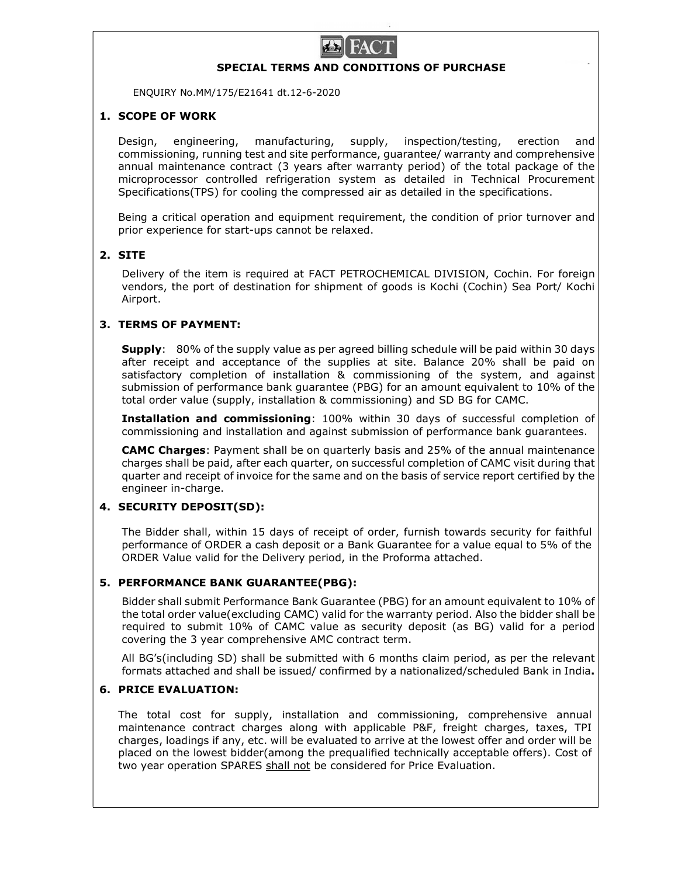

# SPECIAL TERMS AND CONDITIONS OF PURCHASE

ENQUIRY No.MM/175/E21641 dt.12-6-2020

### 1. SCOPE OF WORK

Design, engineering, manufacturing, supply, inspection/testing, erection and commissioning, running test and site performance, guarantee/ warranty and comprehensive annual maintenance contract (3 years after warranty period) of the total package of the microprocessor controlled refrigeration system as detailed in Technical Procurement Specifications(TPS) for cooling the compressed air as detailed in the specifications.

Being a critical operation and equipment requirement, the condition of prior turnover and prior experience for start-ups cannot be relaxed.

### 2. SITE

 Delivery of the item is required at FACT PETROCHEMICAL DIVISION, Cochin. For foreign vendors, the port of destination for shipment of goods is Kochi (Cochin) Sea Port/ Kochi Airport.

# 3. TERMS OF PAYMENT:

Supply: 80% of the supply value as per agreed billing schedule will be paid within 30 days after receipt and acceptance of the supplies at site. Balance 20% shall be paid on satisfactory completion of installation & commissioning of the system, and against submission of performance bank guarantee (PBG) for an amount equivalent to 10% of the total order value (supply, installation & commissioning) and SD BG for CAMC.

Installation and commissioning: 100% within 30 days of successful completion of commissioning and installation and against submission of performance bank guarantees.

CAMC Charges: Payment shall be on quarterly basis and 25% of the annual maintenance charges shall be paid, after each quarter, on successful completion of CAMC visit during that quarter and receipt of invoice for the same and on the basis of service report certified by the engineer in-charge.

#### 4. SECURITY DEPOSIT(SD):

The Bidder shall, within 15 days of receipt of order, furnish towards security for faithful performance of ORDER a cash deposit or a Bank Guarantee for a value equal to 5% of the ORDER Value valid for the Delivery period, in the Proforma attached.

#### 5. PERFORMANCE BANK GUARANTEE(PBG):

Bidder shall submit Performance Bank Guarantee (PBG) for an amount equivalent to 10% of the total order value(excluding CAMC) valid for the warranty period. Also the bidder shall be required to submit 10% of CAMC value as security deposit (as BG) valid for a period covering the 3 year comprehensive AMC contract term.

All BG's(including SD) shall be submitted with 6 months claim period, as per the relevant formats attached and shall be issued/ confirmed by a nationalized/scheduled Bank in India. 6. PRICE EVALUATION:

The total cost for supply, installation and commissioning, comprehensive annual maintenance contract charges along with applicable P&F, freight charges, taxes, TPI charges, loadings if any, etc. will be evaluated to arrive at the lowest offer and order will be placed on the lowest bidder(among the prequalified technically acceptable offers). Cost of two year operation SPARES shall not be considered for Price Evaluation.